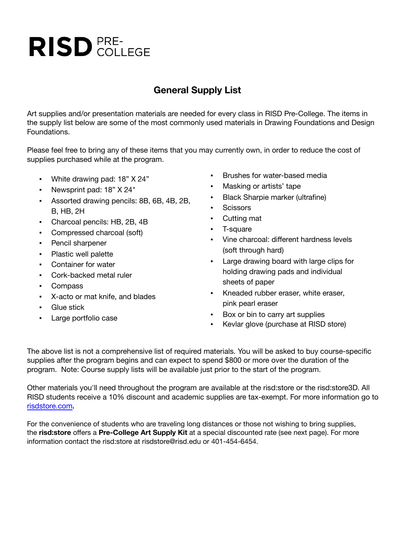## **RISD** PRE-

## **General Supply List**

Art supplies and/or presentation materials are needed for every class in RISD Pre-College. The items in the supply list below are some of the most commonly used materials in Drawing Foundations and Design Foundations.

Please feel free to bring any of these items that you may currently own, in order to reduce the cost of supplies purchased while at the program.

- White drawing pad: 18" X 24"
- Newsprint pad: 18" X 24"
- Assorted drawing pencils: 8B, 6B, 4B, 2B, B, HB, 2H
- Charcoal pencils: HB, 2B, 4B
- Compressed charcoal (soft)
- Pencil sharpener
- Plastic well palette
- Container for water
- Cork-backed metal ruler
- Compass
- X-acto or mat knife, and blades
- Glue stick
- Large portfolio case
- Brushes for water-based media
- Masking or artists' tape
- Black Sharpie marker (ultrafine)
- Scissors
- Cutting mat
- T-square
- Vine charcoal: different hardness levels (soft through hard)
- Large drawing board with large clips for holding drawing pads and individual sheets of paper
- Kneaded rubber eraser, white eraser, pink pearl eraser
- Box or bin to carry art supplies
- Kevlar glove (purchase at RISD store)

The above list is not a comprehensive list of required materials. You will be asked to buy course-specific supplies after the program begins and can expect to spend \$800 or more over the duration of the program. Note: Course supply lists will be available just prior to the start of the program.

Other materials you'll need throughout the program are available at the risd:store or the risd:store3D. All RISD students receive a 10% discount and academic supplies are tax-exempt. For more information go to [risdstore.com](http://risdstore.com/)**.**

For the convenience of students who are traveling long distances or those not wishing to bring supplies, the **risd:store** offers a **Pre-College Art Supply Kit** at a special discounted rate (see next page). For more information contact the risd:store at risdstore@risd.edu or 401-454-6454.